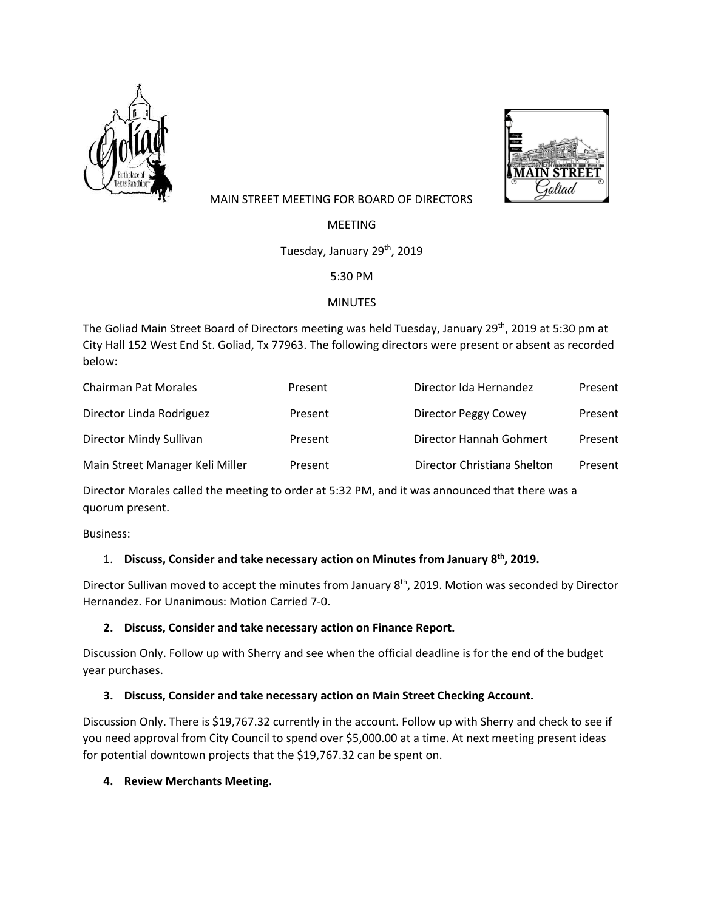



## MAIN STREET MEETING FOR BOARD OF DIRECTORS

MEETING

Tuesday, January 29<sup>th</sup>, 2019

5:30 PM

### MINUTES

The Goliad Main Street Board of Directors meeting was held Tuesday, January 29<sup>th</sup>, 2019 at 5:30 pm at City Hall 152 West End St. Goliad, Tx 77963. The following directors were present or absent as recorded below:

| <b>Chairman Pat Morales</b>     | Present | Director Ida Hernandez      | Present |
|---------------------------------|---------|-----------------------------|---------|
| Director Linda Rodriguez        | Present | Director Peggy Cowey        | Present |
| Director Mindy Sullivan         | Present | Director Hannah Gohmert     | Present |
| Main Street Manager Keli Miller | Present | Director Christiana Shelton | Present |

Director Morales called the meeting to order at 5:32 PM, and it was announced that there was a quorum present.

Business:

# 1. **Discuss, Consider and take necessary action on Minutes from January 8th, 2019.**

Director Sullivan moved to accept the minutes from January 8<sup>th</sup>, 2019. Motion was seconded by Director Hernandez. For Unanimous: Motion Carried 7-0.

### **2. Discuss, Consider and take necessary action on Finance Report.**

Discussion Only. Follow up with Sherry and see when the official deadline is for the end of the budget year purchases.

# **3. Discuss, Consider and take necessary action on Main Street Checking Account.**

Discussion Only. There is \$19,767.32 currently in the account. Follow up with Sherry and check to see if you need approval from City Council to spend over \$5,000.00 at a time. At next meeting present ideas for potential downtown projects that the \$19,767.32 can be spent on.

### **4. Review Merchants Meeting.**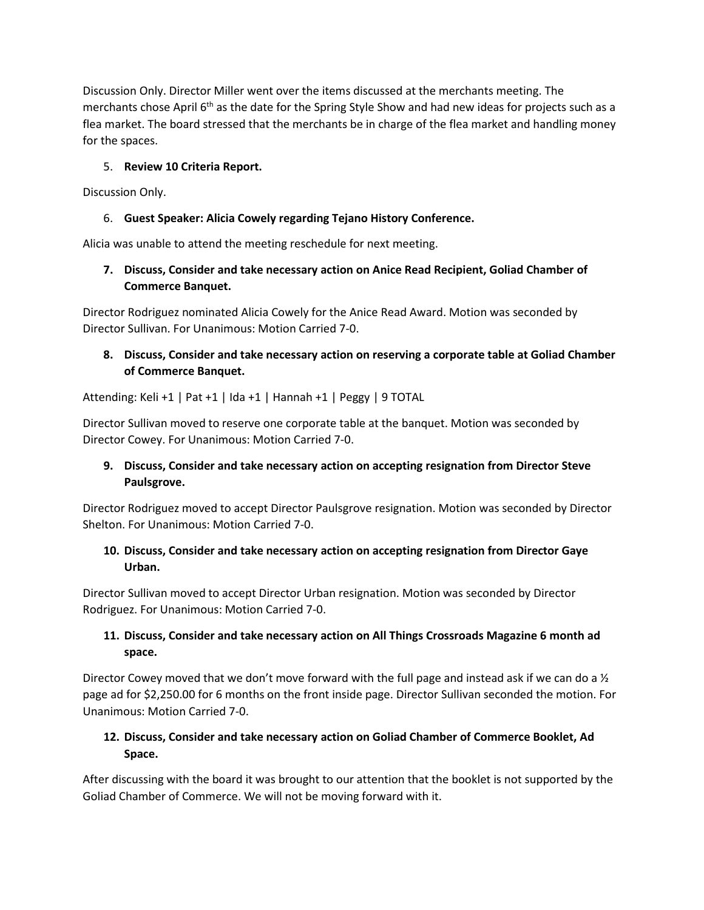Discussion Only. Director Miller went over the items discussed at the merchants meeting. The merchants chose April 6<sup>th</sup> as the date for the Spring Style Show and had new ideas for projects such as a flea market. The board stressed that the merchants be in charge of the flea market and handling money for the spaces.

### 5. **Review 10 Criteria Report.**

Discussion Only.

## 6. **Guest Speaker: Alicia Cowely regarding Tejano History Conference.**

Alicia was unable to attend the meeting reschedule for next meeting.

## **7. Discuss, Consider and take necessary action on Anice Read Recipient, Goliad Chamber of Commerce Banquet.**

Director Rodriguez nominated Alicia Cowely for the Anice Read Award. Motion was seconded by Director Sullivan. For Unanimous: Motion Carried 7-0.

# **8. Discuss, Consider and take necessary action on reserving a corporate table at Goliad Chamber of Commerce Banquet.**

Attending: Keli +1 | Pat +1 | Ida +1 | Hannah +1 | Peggy | 9 TOTAL

Director Sullivan moved to reserve one corporate table at the banquet. Motion was seconded by Director Cowey. For Unanimous: Motion Carried 7-0.

# **9. Discuss, Consider and take necessary action on accepting resignation from Director Steve Paulsgrove.**

Director Rodriguez moved to accept Director Paulsgrove resignation. Motion was seconded by Director Shelton. For Unanimous: Motion Carried 7-0.

## **10. Discuss, Consider and take necessary action on accepting resignation from Director Gaye Urban.**

Director Sullivan moved to accept Director Urban resignation. Motion was seconded by Director Rodriguez. For Unanimous: Motion Carried 7-0.

# **11. Discuss, Consider and take necessary action on All Things Crossroads Magazine 6 month ad space.**

Director Cowey moved that we don't move forward with the full page and instead ask if we can do a  $\frac{1}{2}$ page ad for \$2,250.00 for 6 months on the front inside page. Director Sullivan seconded the motion. For Unanimous: Motion Carried 7-0.

# **12. Discuss, Consider and take necessary action on Goliad Chamber of Commerce Booklet, Ad Space.**

After discussing with the board it was brought to our attention that the booklet is not supported by the Goliad Chamber of Commerce. We will not be moving forward with it.